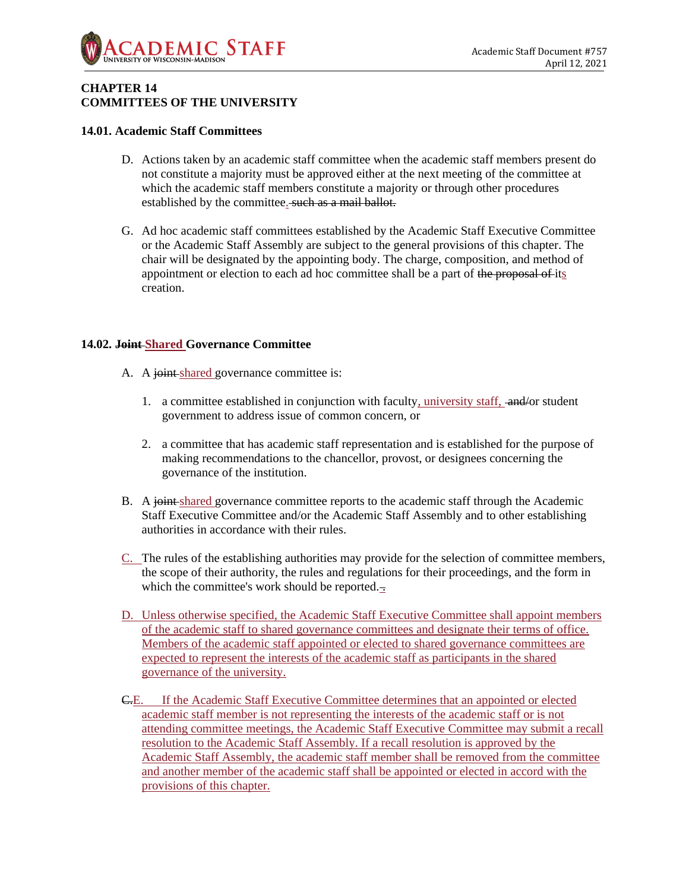

# **CHAPTER 14 COMMITTEES OF THE UNIVERSITY**

# **14.01. Academic Staff Committees**

- D. Actions taken by an academic staff committee when the academic staff members present do not constitute a majority must be approved either at the next meeting of the committee at which the academic staff members constitute a majority or through other procedures established by the committee. such as a mail ballot.
- G. Ad hoc academic staff committees established by the Academic Staff Executive Committee or the Academic Staff Assembly are subject to the general provisions of this chapter. The chair will be designated by the appointing body. The charge, composition, and method of appointment or election to each ad hoc committee shall be a part of the proposal of its creation.

# **14.02. Joint Shared Governance Committee**

- A. A joint-shared governance committee is:
	- 1. a committee established in conjunction with faculty, university staff, and/or student government to address issue of common concern, or
	- 2. a committee that has academic staff representation and is established for the purpose of making recommendations to the chancellor, provost, or designees concerning the governance of the institution.
- B. A joint shared governance committee reports to the academic staff through the Academic Staff Executive Committee and/or the Academic Staff Assembly and to other establishing authorities in accordance with their rules.
- C. The rules of the establishing authorities may provide for the selection of committee members, the scope of their authority, the rules and regulations for their proceedings, and the form in which the committee's work should be reported. $\pm$
- D. Unless otherwise specified, the Academic Staff Executive Committee shall appoint members of the academic staff to shared governance committees and designate their terms of office. Members of the academic staff appointed or elected to shared governance committees are expected to represent the interests of the academic staff as participants in the shared governance of the university.
- C.E. If the Academic Staff Executive Committee determines that an appointed or elected academic staff member is not representing the interests of the academic staff or is not attending committee meetings, the Academic Staff Executive Committee may submit a recall resolution to the Academic Staff Assembly. If a recall resolution is approved by the Academic Staff Assembly, the academic staff member shall be removed from the committee and another member of the academic staff shall be appointed or elected in accord with the provisions of this chapter.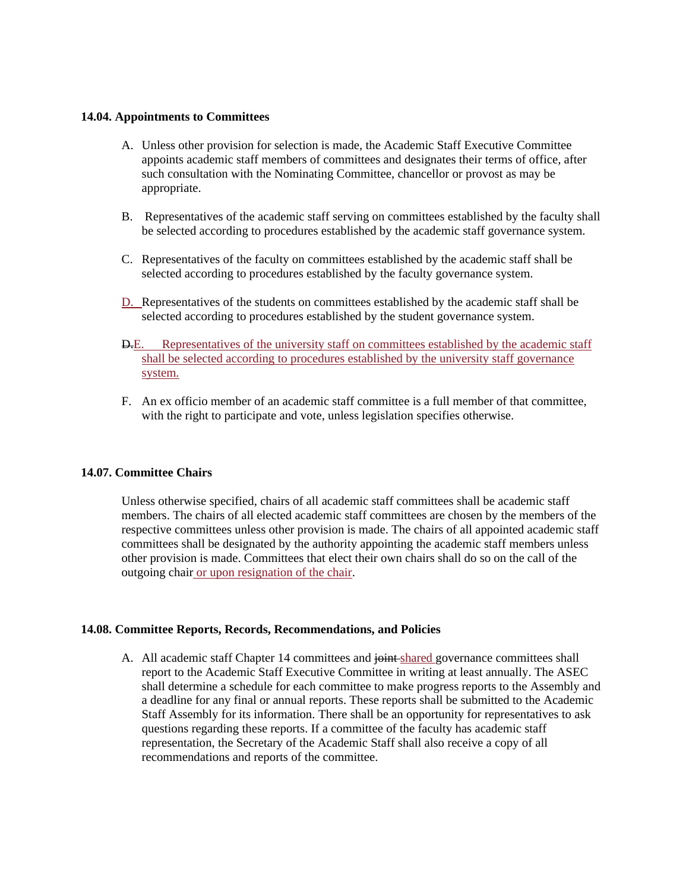## **14.04. Appointments to Committees**

- A. Unless other provision for selection is made, the Academic Staff Executive Committee appoints academic staff members of committees and designates their terms of office, after such consultation with the Nominating Committee, chancellor or provost as may be appropriate.
- B. Representatives of the academic staff serving on committees established by the faculty shall be selected according to procedures established by the academic staff governance system.
- C. Representatives of the faculty on committees established by the academic staff shall be selected according to procedures established by the faculty governance system.
- D. Representatives of the students on committees established by the academic staff shall be selected according to procedures established by the student governance system.
- D.E. Representatives of the university staff on committees established by the academic staff shall be selected according to procedures established by the university staff governance system.
- F. An ex officio member of an academic staff committee is a full member of that committee, with the right to participate and vote, unless legislation specifies otherwise.

## **14.07. Committee Chairs**

Unless otherwise specified, chairs of all academic staff committees shall be academic staff members. The chairs of all elected academic staff committees are chosen by the members of the respective committees unless other provision is made. The chairs of all appointed academic staff committees shall be designated by the authority appointing the academic staff members unless other provision is made. Committees that elect their own chairs shall do so on the call of the outgoing chair or upon resignation of the chair.

# **14.08. Committee Reports, Records, Recommendations, and Policies**

A. All academic staff Chapter 14 committees and joint shared governance committees shall report to the Academic Staff Executive Committee in writing at least annually. The ASEC shall determine a schedule for each committee to make progress reports to the Assembly and a deadline for any final or annual reports. These reports shall be submitted to the Academic Staff Assembly for its information. There shall be an opportunity for representatives to ask questions regarding these reports. If a committee of the faculty has academic staff representation, the Secretary of the Academic Staff shall also receive a copy of all recommendations and reports of the committee.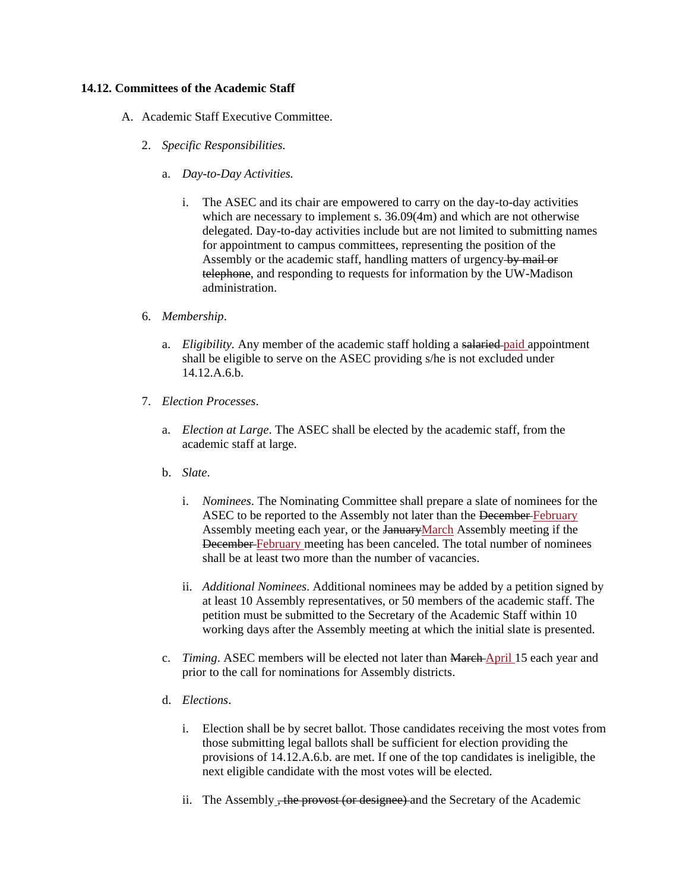# **14.12. Committees of the Academic Staff**

- A. Academic Staff Executive Committee.
	- 2. *Specific Responsibilities.*
		- a. *Day-to-Day Activities.*
			- i. The ASEC and its chair are empowered to carry on the day-to-day activities which are necessary to implement s.  $36.09(4m)$  and which are not otherwise delegated. Day-to-day activities include but are not limited to submitting names for appointment to campus committees, representing the position of the Assembly or the academic staff, handling matters of urgency by mail or telephone, and responding to requests for information by the UW-Madison administration.
	- 6. *Membership*.
		- a. *Eligibility.* Any member of the academic staff holding a salaried paid appointment shall be eligible to serve on the ASEC providing s/he is not excluded under 14.12.A.6.b.
	- 7. *Election Processes*.
		- a. *Election at Large*. The ASEC shall be elected by the academic staff, from the academic staff at large.
		- b. *Slate*.
			- i. *Nominees*. The Nominating Committee shall prepare a slate of nominees for the ASEC to be reported to the Assembly not later than the December February Assembly meeting each year, or the JanuaryMarch Assembly meeting if the December February meeting has been canceled. The total number of nominees shall be at least two more than the number of vacancies.
			- ii. *Additional Nominees*. Additional nominees may be added by a petition signed by at least 10 Assembly representatives, or 50 members of the academic staff. The petition must be submitted to the Secretary of the Academic Staff within 10 working days after the Assembly meeting at which the initial slate is presented.
		- c. *Timing*. ASEC members will be elected not later than March April 15 each year and prior to the call for nominations for Assembly districts.
		- d. *Elections*.
			- i. Election shall be by secret ballot. Those candidates receiving the most votes from those submitting legal ballots shall be sufficient for election providing the provisions of 14.12.A.6.b. are met. If one of the top candidates is ineligible, the next eligible candidate with the most votes will be elected.
			- ii. The Assembly , the provost (or designee) and the Secretary of the Academic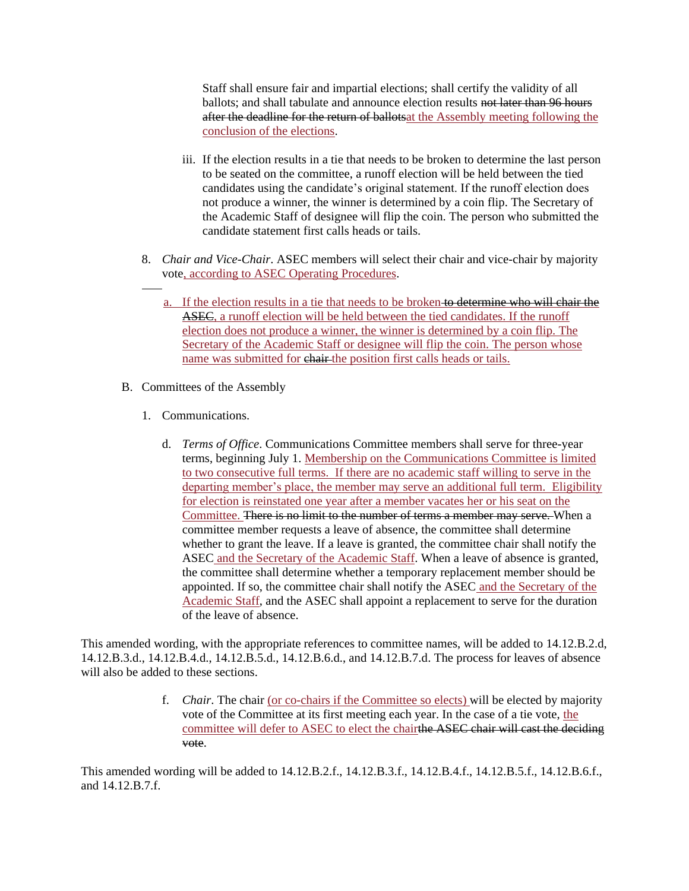Staff shall ensure fair and impartial elections; shall certify the validity of all ballots; and shall tabulate and announce election results not later than 96 hours after the deadline for the return of ballotsat the Assembly meeting following the conclusion of the elections.

- iii. If the election results in a tie that needs to be broken to determine the last person to be seated on the committee, a runoff election will be held between the tied candidates using the candidate's original statement. If the runoff election does not produce a winner, the winner is determined by a coin flip. The Secretary of the Academic Staff of designee will flip the coin. The person who submitted the candidate statement first calls heads or tails.
- 8. *Chair and Vice-Chair*. ASEC members will select their chair and vice-chair by majority vote, according to ASEC Operating Procedures.
	- a. If the election results in a tie that needs to be broken to determine who will chair the ASEC, a runoff election will be held between the tied candidates. If the runoff election does not produce a winner, the winner is determined by a coin flip. The Secretary of the Academic Staff or designee will flip the coin. The person whose name was submitted for chair the position first calls heads or tails.
- B. Committees of the Assembly
	- 1. Communications.
		- d. *Terms of Office*. Communications Committee members shall serve for three-year terms, beginning July 1. Membership on the Communications Committee is limited to two consecutive full terms. If there are no academic staff willing to serve in the departing member's place, the member may serve an additional full term. Eligibility for election is reinstated one year after a member vacates her or his seat on the Committee. There is no limit to the number of terms a member may serve. When a committee member requests a leave of absence, the committee shall determine whether to grant the leave. If a leave is granted, the committee chair shall notify the ASEC and the Secretary of the Academic Staff. When a leave of absence is granted, the committee shall determine whether a temporary replacement member should be appointed. If so, the committee chair shall notify the ASEC and the Secretary of the Academic Staff, and the ASEC shall appoint a replacement to serve for the duration of the leave of absence.

This amended wording, with the appropriate references to committee names, will be added to 14.12.B.2.d, 14.12.B.3.d., 14.12.B.4.d., 14.12.B.5.d., 14.12.B.6.d., and 14.12.B.7.d. The process for leaves of absence will also be added to these sections.

> f. *Chair*. The chair (or co-chairs if the Committee so elects) will be elected by majority vote of the Committee at its first meeting each year. In the case of a tie vote, the committee will defer to ASEC to elect the chairthe ASEC chair will cast the deciding vote.

This amended wording will be added to 14.12.B.2.f., 14.12.B.3.f., 14.12.B.4.f., 14.12.B.5.f., 14.12.B.6.f., and 14.12.B.7.f.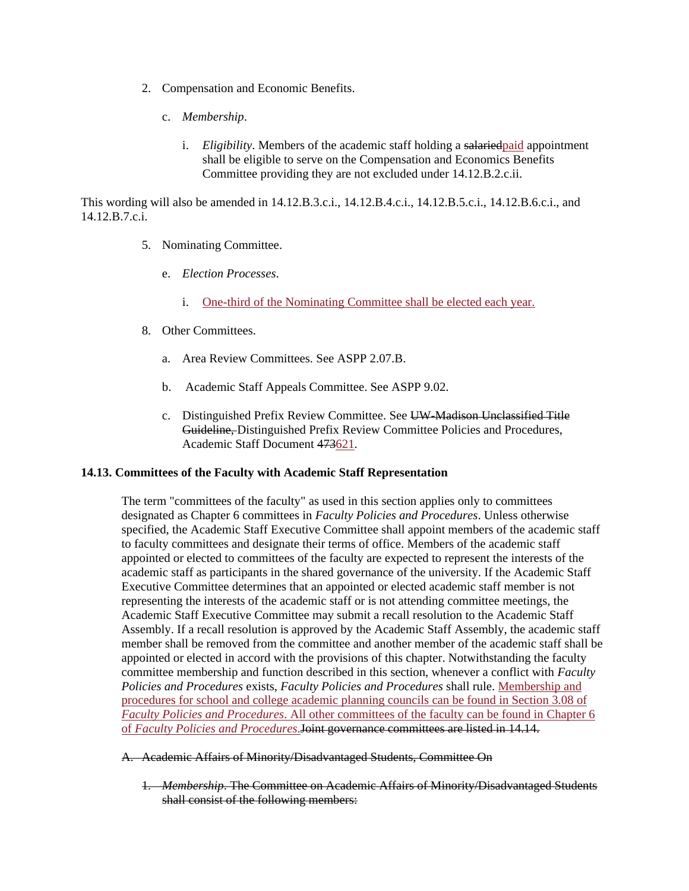- 2. Compensation and Economic Benefits.
	- c. *Membership*.
		- i. *Eligibility*. Members of the academic staff holding a salariedpaid appointment shall be eligible to serve on the Compensation and Economics Benefits Committee providing they are not excluded under 14.12.B.2.c.ii.

This wording will also be amended in 14.12.B.3.c.i., 14.12.B.4.c.i., 14.12.B.5.c.i., 14.12.B.6.c.i., and 14.12.B.7.c.i.

- 5. Nominating Committee.
	- e. *Election Processes*.
		- i. One-third of the Nominating Committee shall be elected each year.
- 8. Other Committees.
	- a. Area Review Committees. See ASPP 2.07.B.
	- b. Academic Staff Appeals Committee. See ASPP 9.02.
	- c. Distinguished Prefix Review Committee. See UW-Madison Unclassified Title Guideline, Distinguished Prefix Review Committee Policies and Procedures, Academic Staff Document 473621.

## **14.13. Committees of the Faculty with Academic Staff Representation**

The term "committees of the faculty" as used in this section applies only to committees designated as Chapter 6 committees in *Faculty Policies and Procedures*. Unless otherwise specified, the Academic Staff Executive Committee shall appoint members of the academic staff to faculty committees and designate their terms of office. Members of the academic staff appointed or elected to committees of the faculty are expected to represent the interests of the academic staff as participants in the shared governance of the university. If the Academic Staff Executive Committee determines that an appointed or elected academic staff member is not representing the interests of the academic staff or is not attending committee meetings, the Academic Staff Executive Committee may submit a recall resolution to the Academic Staff Assembly. If a recall resolution is approved by the Academic Staff Assembly, the academic staff member shall be removed from the committee and another member of the academic staff shall be appointed or elected in accord with the provisions of this chapter. Notwithstanding the faculty committee membership and function described in this section, whenever a conflict with *Faculty Policies and Procedures* exists, *Faculty Policies and Procedures* shall rule. Membership and procedures for school and college academic planning councils can be found in Section 3.08 of *Faculty Policies and Procedures*. All other committees of the faculty can be found in Chapter 6 of *Faculty Policies and Procedures*.Joint governance committees are listed in 14.14.

# A. Academic Affairs of Minority/Disadvantaged Students, Committee On

1. *Membership*. The Committee on Academic Affairs of Minority/Disadvantaged Students shall consist of the following members: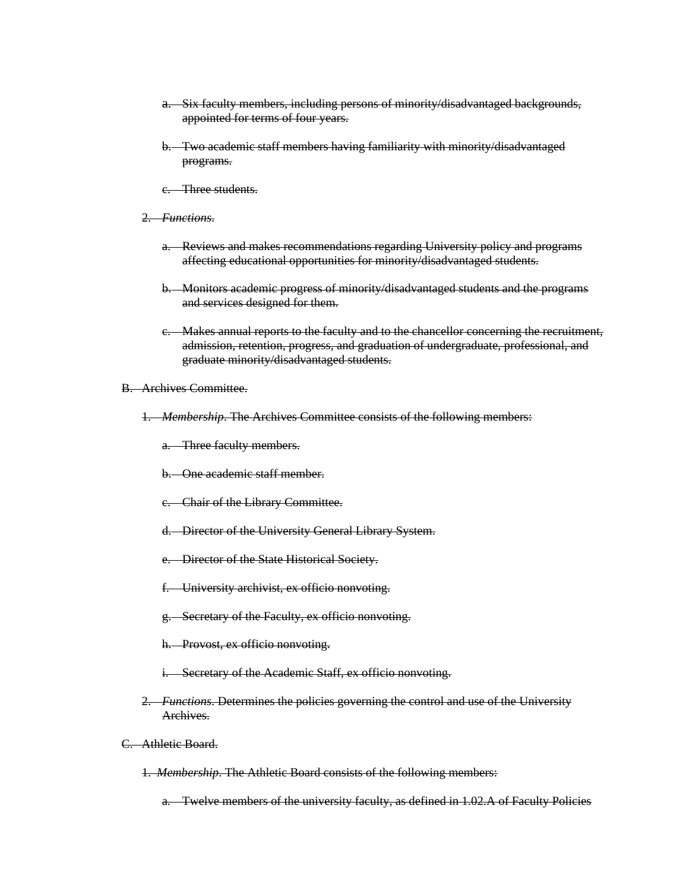- a. Six faculty members, including persons of minority/disadvantaged backgrounds, appointed for terms of four years.
- b. Two academic staff members having familiarity with minority/disadvantaged programs.
- c. Three students.
- 2. *Functions*.
	- a. Reviews and makes recommendations regarding University policy and programs affecting educational opportunities for minority/disadvantaged students.
	- b. Monitors academic progress of minority/disadvantaged students and the programs and services designed for them.
	- c. Makes annual reports to the faculty and to the chancellor concerning the recruitment, admission, retention, progress, and graduation of undergraduate, professional, and graduate minority/disadvantaged students.
- B. Archives Committee.
	- 1. *Membership*. The Archives Committee consists of the following members:
		- a. Three faculty members.
		- b. One academic staff member.
		- c. Chair of the Library Committee.
		- d. Director of the University General Library System.
		- e. Director of the State Historical Society.
		- f. University archivist, ex officio nonvoting.
		- g. Secretary of the Faculty, ex officio nonvoting.
		- h. Provost, ex officio nonvoting.
		- i. Secretary of the Academic Staff, ex officio nonvoting.
	- 2. *Functions*. Determines the policies governing the control and use of the University Archives.
- C. Athletic Board.
	- 1. *Membership*. The Athletic Board consists of the following members:

a. Twelve members of the university faculty, as defined in 1.02.A of Faculty Policies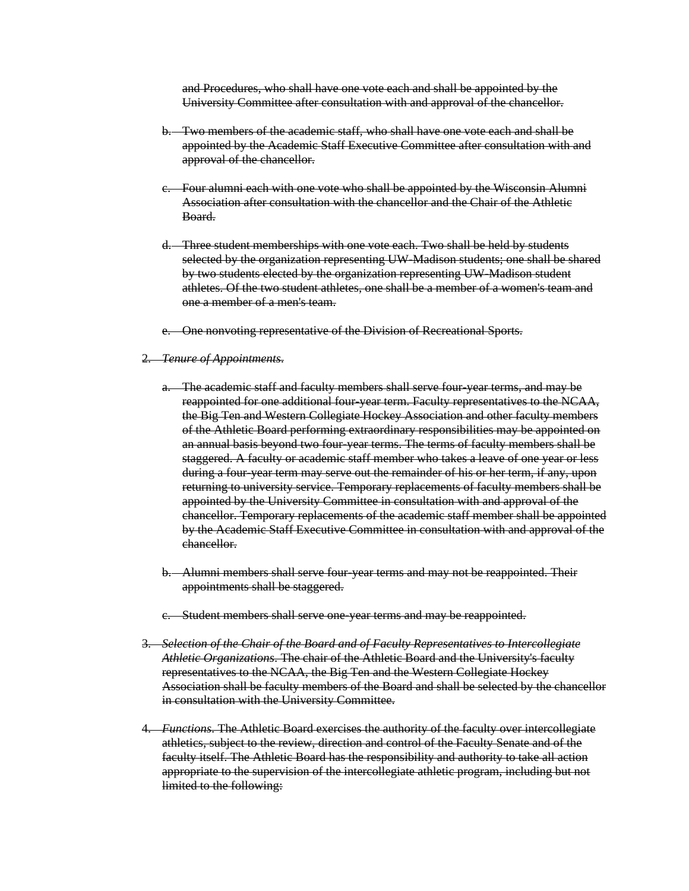and Procedures, who shall have one vote each and shall be appointed by the University Committee after consultation with and approval of the chancellor.

- b. Two members of the academic staff, who shall have one vote each and shall be appointed by the Academic Staff Executive Committee after consultation with and approval of the chancellor.
- c. Four alumni each with one vote who shall be appointed by the Wisconsin Alumni Association after consultation with the chancellor and the Chair of the Athletic Board.
- d. Three student memberships with one vote each. Two shall be held by students selected by the organization representing UW-Madison students; one shall be shared by two students elected by the organization representing UW-Madison student athletes. Of the two student athletes, one shall be a member of a women's team and one a member of a men's team.
- e. One nonvoting representative of the Division of Recreational Sports.

#### 2. *Tenure of Appointments*.

- a. The academic staff and faculty members shall serve four-year terms, and may be reappointed for one additional four-year term. Faculty representatives to the NCAA, the Big Ten and Western Collegiate Hockey Association and other faculty members of the Athletic Board performing extraordinary responsibilities may be appointed on an annual basis beyond two four-year terms. The terms of faculty members shall be staggered. A faculty or academic staff member who takes a leave of one year or less during a four-year term may serve out the remainder of his or her term, if any, upon returning to university service. Temporary replacements of faculty members shall be appointed by the University Committee in consultation with and approval of the chancellor. Temporary replacements of the academic staff member shall be appointed by the Academic Staff Executive Committee in consultation with and approval of the chancellor.
- b. Alumni members shall serve four-year terms and may not be reappointed. Their appointments shall be staggered.
- c. Student members shall serve one-year terms and may be reappointed.
- 3. *Selection of the Chair of the Board and of Faculty Representatives to Intercollegiate Athletic Organizations*. The chair of the Athletic Board and the University's faculty representatives to the NCAA, the Big Ten and the Western Collegiate Hockey Association shall be faculty members of the Board and shall be selected by the chancellor in consultation with the University Committee.
- 4. *Functions*. The Athletic Board exercises the authority of the faculty over intercollegiate athletics, subject to the review, direction and control of the Faculty Senate and of the faculty itself. The Athletic Board has the responsibility and authority to take all action appropriate to the supervision of the intercollegiate athletic program, including but not limited to the following: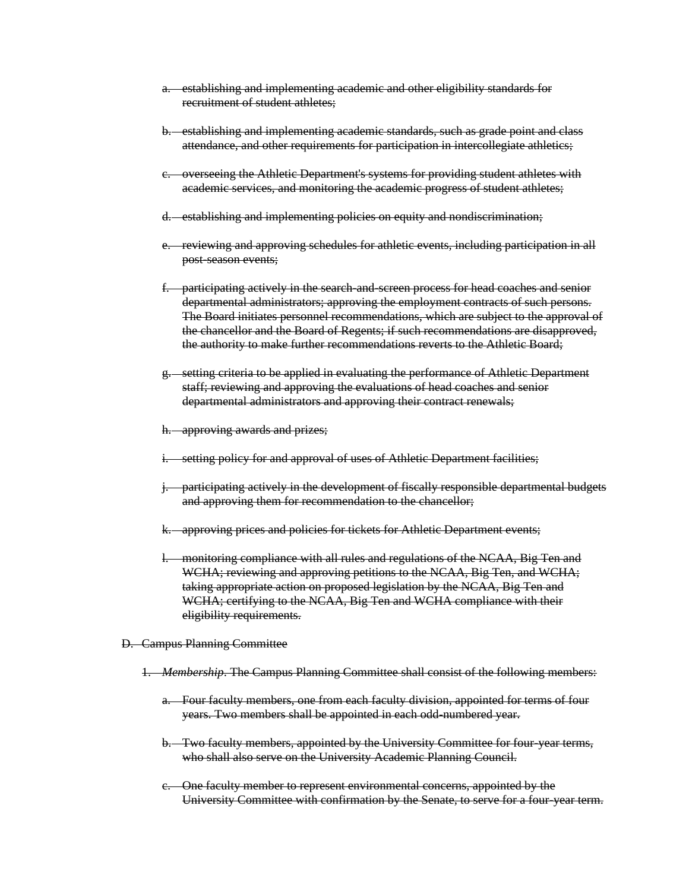- a. establishing and implementing academic and other eligibility standards for recruitment of student athletes;
- b. establishing and implementing academic standards, such as grade point and class attendance, and other requirements for participation in intercollegiate athletics;
- c. overseeing the Athletic Department's systems for providing student athletes with academic services, and monitoring the academic progress of student athletes;
- d. establishing and implementing policies on equity and nondiscrimination;
- e. reviewing and approving schedules for athletic events, including participation in all post-season events;
- f. participating actively in the search-and-screen process for head coaches and senior departmental administrators; approving the employment contracts of such persons. The Board initiates personnel recommendations, which are subject to the approval of the chancellor and the Board of Regents; if such recommendations are disapproved, the authority to make further recommendations reverts to the Athletic Board;
- g. setting criteria to be applied in evaluating the performance of Athletic Department staff; reviewing and approving the evaluations of head coaches and senior departmental administrators and approving their contract renewals;
- h. approving awards and prizes;
- i. setting policy for and approval of uses of Athletic Department facilities;
- j. participating actively in the development of fiscally responsible departmental budgets and approving them for recommendation to the chancellor;
- k. approving prices and policies for tickets for Athletic Department events;
- l. monitoring compliance with all rules and regulations of the NCAA, Big Ten and WCHA; reviewing and approving petitions to the NCAA, Big Ten, and WCHA; taking appropriate action on proposed legislation by the NCAA, Big Ten and WCHA; certifying to the NCAA, Big Ten and WCHA compliance with their eligibility requirements.
- D. Campus Planning Committee
	- 1. *Membership*. The Campus Planning Committee shall consist of the following members:
		- a. Four faculty members, one from each faculty division, appointed for terms of four years. Two members shall be appointed in each odd-numbered year.
		- b. Two faculty members, appointed by the University Committee for four-year terms, who shall also serve on the University Academic Planning Council.
		- c. One faculty member to represent environmental concerns, appointed by the University Committee with confirmation by the Senate, to serve for a four-year term.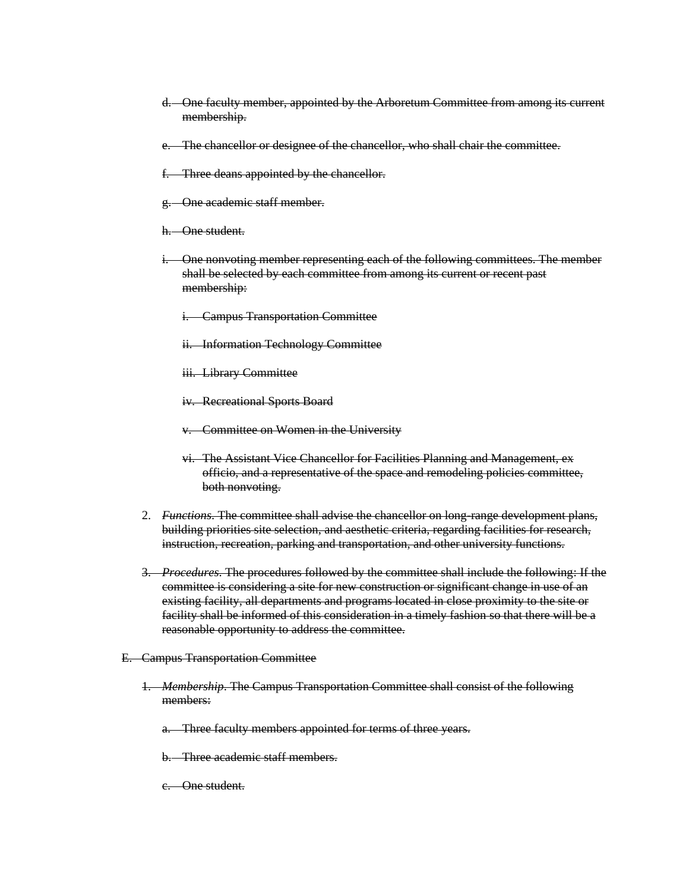- d. One faculty member, appointed by the Arboretum Committee from among its current membership.
- e. The chancellor or designee of the chancellor, who shall chair the committee.
- f. Three deans appointed by the chancellor.
- g. One academic staff member.
- h. One student.
- i. One nonvoting member representing each of the following committees. The member shall be selected by each committee from among its current or recent past membership:
	- i. Campus Transportation Committee
	- ii. Information Technology Committee
	- iii. Library Committee
	- iv. Recreational Sports Board
	- v. Committee on Women in the University
	- vi. The Assistant Vice Chancellor for Facilities Planning and Management, ex officio, and a representative of the space and remodeling policies committee, both nonvoting.
- 2. *Functions*. The committee shall advise the chancellor on long-range development plans, building priorities site selection, and aesthetic criteria, regarding facilities for research, instruction, recreation, parking and transportation, and other university functions.
- 3. *Procedures*. The procedures followed by the committee shall include the following: If the committee is considering a site for new construction or significant change in use of an existing facility, all departments and programs located in close proximity to the site or facility shall be informed of this consideration in a timely fashion so that there will be a reasonable opportunity to address the committee.
- E. Campus Transportation Committee
	- 1. *Membership*. The Campus Transportation Committee shall consist of the following members:
		- a. Three faculty members appointed for terms of three years.
		- b. Three academic staff members.
		- c. One student.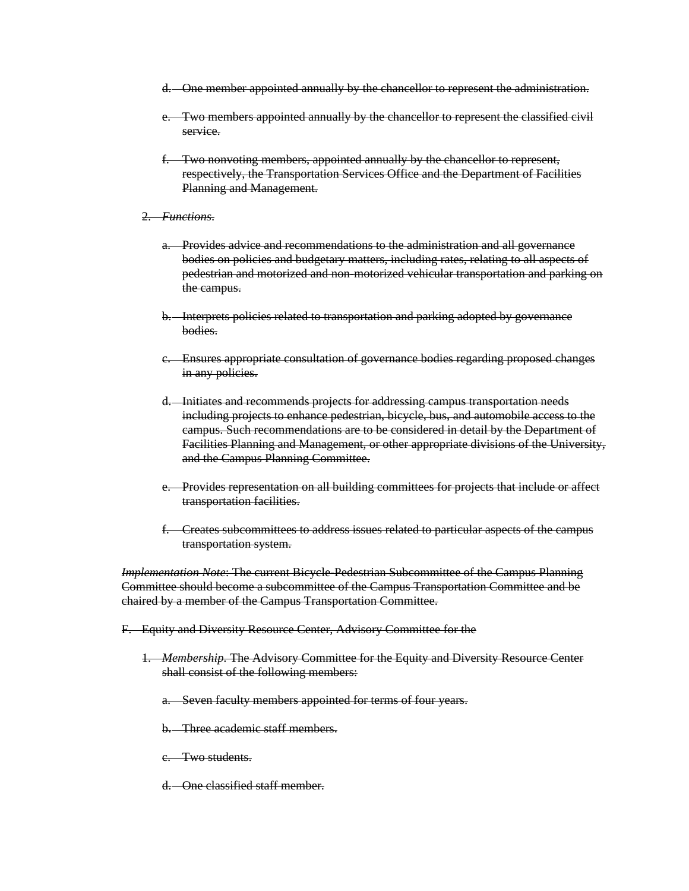- d. One member appointed annually by the chancellor to represent the administration.
- e. Two members appointed annually by the chancellor to represent the classified civil service.
- f. Two nonvoting members, appointed annually by the chancellor to represent, respectively, the Transportation Services Office and the Department of Facilities Planning and Management.
- 2. *Functions*.
	- a. Provides advice and recommendations to the administration and all governance bodies on policies and budgetary matters, including rates, relating to all aspects of pedestrian and motorized and non-motorized vehicular transportation and parking on the campus.
	- b. Interprets policies related to transportation and parking adopted by governance bodies.
	- c. Ensures appropriate consultation of governance bodies regarding proposed changes in any policies.
	- d. Initiates and recommends projects for addressing campus transportation needs including projects to enhance pedestrian, bicycle, bus, and automobile access to the campus. Such recommendations are to be considered in detail by the Department of Facilities Planning and Management, or other appropriate divisions of the University, and the Campus Planning Committee.
	- e. Provides representation on all building committees for projects that include or affect transportation facilities.
	- f. Creates subcommittees to address issues related to particular aspects of the campus transportation system.

*Implementation Note*: The current Bicycle-Pedestrian Subcommittee of the Campus Planning Committee should become a subcommittee of the Campus Transportation Committee and be chaired by a member of the Campus Transportation Committee.

- F. Equity and Diversity Resource Center, Advisory Committee for the
	- 1. *Membership.* The Advisory Committee for the Equity and Diversity Resource Center shall consist of the following members:
		- a. Seven faculty members appointed for terms of four years.

b. Three academic staff members.

- c. Two students.
- d. One classified staff member.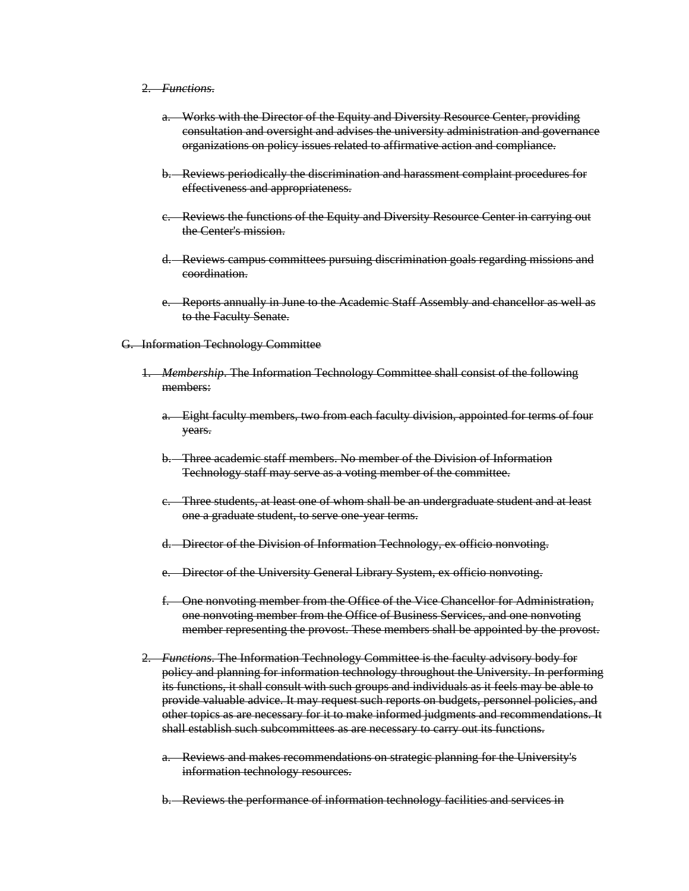### 2. *Functions*.

- a. Works with the Director of the Equity and Diversity Resource Center, providing consultation and oversight and advises the university administration and governance organizations on policy issues related to affirmative action and compliance.
- b. Reviews periodically the discrimination and harassment complaint procedures for effectiveness and appropriateness.
- c. Reviews the functions of the Equity and Diversity Resource Center in carrying out the Center's mission.
- d. Reviews campus committees pursuing discrimination goals regarding missions and coordination.
- e. Reports annually in June to the Academic Staff Assembly and chancellor as well as to the Faculty Senate.
- G. Information Technology Committee
	- 1. *Membership*. The Information Technology Committee shall consist of the following members:
		- a. Eight faculty members, two from each faculty division, appointed for terms of four years.
		- b. Three academic staff members. No member of the Division of Information Technology staff may serve as a voting member of the committee.
		- c. Three students, at least one of whom shall be an undergraduate student and at least one a graduate student, to serve one-year terms.
		- d. Director of the Division of Information Technology, ex officio nonvoting.
		- e. Director of the University General Library System, ex officio nonvoting.
		- f. One nonvoting member from the Office of the Vice Chancellor for Administration, one nonvoting member from the Office of Business Services, and one nonvoting member representing the provost. These members shall be appointed by the provost.
	- 2. *Functions*. The Information Technology Committee is the faculty advisory body for policy and planning for information technology throughout the University. In performing its functions, it shall consult with such groups and individuals as it feels may be able to provide valuable advice. It may request such reports on budgets, personnel policies, and other topics as are necessary for it to make informed judgments and recommendations. It shall establish such subcommittees as are necessary to carry out its functions.
		- a. Reviews and makes recommendations on strategic planning for the University's information technology resources.
		- b. Reviews the performance of information technology facilities and services in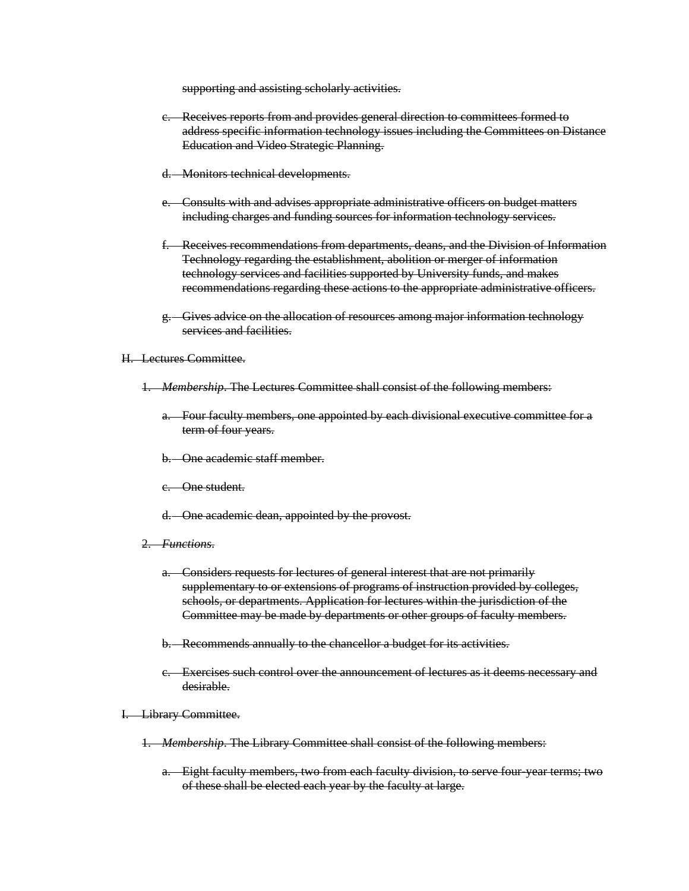supporting and assisting scholarly activities.

- c. Receives reports from and provides general direction to committees formed to address specific information technology issues including the Committees on Distance Education and Video Strategic Planning.
- d. Monitors technical developments.
- e. Consults with and advises appropriate administrative officers on budget matters including charges and funding sources for information technology services.
- f. Receives recommendations from departments, deans, and the Division of Information Technology regarding the establishment, abolition or merger of information technology services and facilities supported by University funds, and makes recommendations regarding these actions to the appropriate administrative officers.
- g. Gives advice on the allocation of resources among major information technology services and facilities.
- H. Lectures Committee.
	- 1. *Membership*. The Lectures Committee shall consist of the following members:
		- a. Four faculty members, one appointed by each divisional executive committee for a term of four years.
		- b. One academic staff member.
		- c. One student.
		- d. One academic dean, appointed by the provost.
	- 2. *Functions*.
		- a. Considers requests for lectures of general interest that are not primarily supplementary to or extensions of programs of instruction provided by colleges, schools, or departments. Application for lectures within the jurisdiction of the Committee may be made by departments or other groups of faculty members.
		- b. Recommends annually to the chancellor a budget for its activities.
		- c. Exercises such control over the announcement of lectures as it deems necessary and desirable.
- I. Library Committee.
	- 1. *Membership*. The Library Committee shall consist of the following members:
		- a. Eight faculty members, two from each faculty division, to serve four-year terms; two of these shall be elected each year by the faculty at large.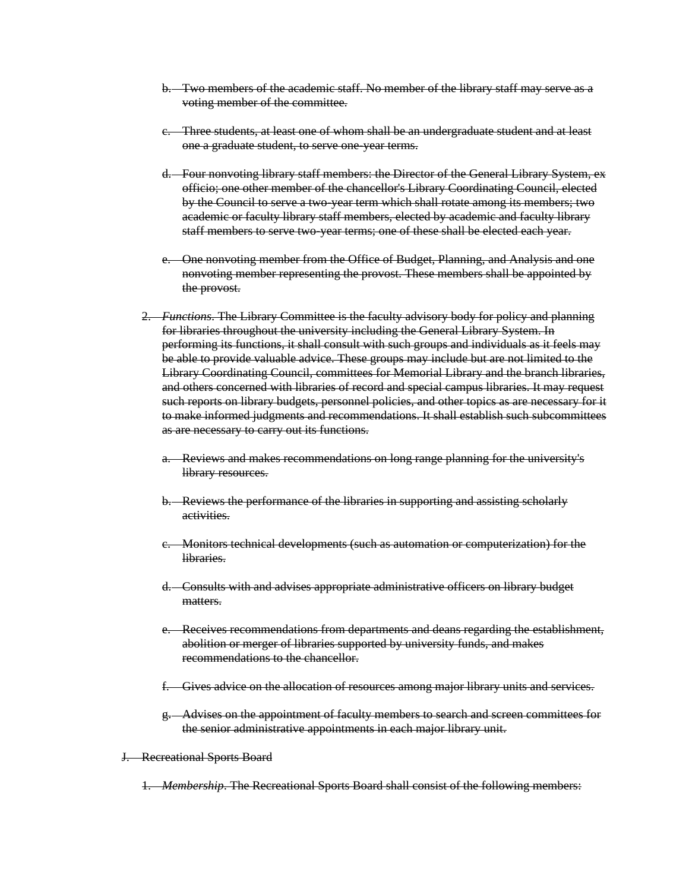- b. Two members of the academic staff. No member of the library staff may serve as a voting member of the committee.
- c. Three students, at least one of whom shall be an undergraduate student and at least one a graduate student, to serve one-year terms.
- d. Four nonvoting library staff members: the Director of the General Library System, ex officio; one other member of the chancellor's Library Coordinating Council, elected by the Council to serve a two-year term which shall rotate among its members; two academic or faculty library staff members, elected by academic and faculty library staff members to serve two-year terms; one of these shall be elected each year.
- e. One nonvoting member from the Office of Budget, Planning, and Analysis and one nonvoting member representing the provost. These members shall be appointed by the provost.
- 2. *Functions*. The Library Committee is the faculty advisory body for policy and planning for libraries throughout the university including the General Library System. In performing its functions, it shall consult with such groups and individuals as it feels may be able to provide valuable advice. These groups may include but are not limited to the Library Coordinating Council, committees for Memorial Library and the branch libraries, and others concerned with libraries of record and special campus libraries. It may request such reports on library budgets, personnel policies, and other topics as are necessary for it to make informed judgments and recommendations. It shall establish such subcommittees as are necessary to carry out its functions.
	- a. Reviews and makes recommendations on long range planning for the university's library resources.
	- b. Reviews the performance of the libraries in supporting and assisting scholarly activities.
	- c. Monitors technical developments (such as automation or computerization) for the libraries.
	- d. Consults with and advises appropriate administrative officers on library budget matters.
	- e. Receives recommendations from departments and deans regarding the establishment, abolition or merger of libraries supported by university funds, and makes recommendations to the chancellor.
	- f. Gives advice on the allocation of resources among major library units and services.
	- g. Advises on the appointment of faculty members to search and screen committees for the senior administrative appointments in each major library unit.

#### J. Recreational Sports Board

1. *Membership*. The Recreational Sports Board shall consist of the following members: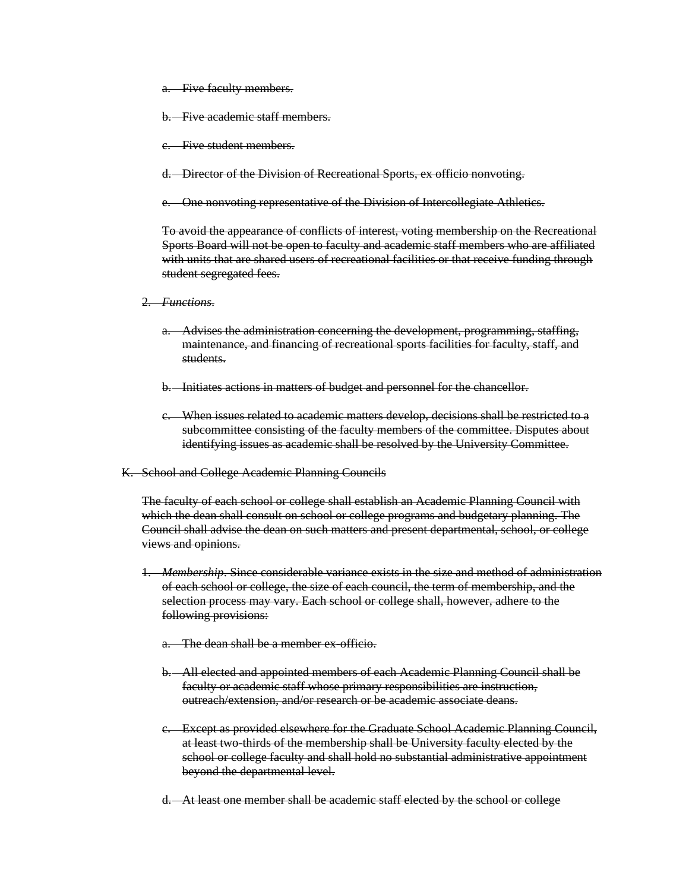- a. Five faculty members.
- Five academic staff members.
- c. Five student members.
- d. Director of the Division of Recreational Sports, ex officio nonvoting.
- e. One nonvoting representative of the Division of Intercollegiate Athletics.

To avoid the appearance of conflicts of interest, voting membership on the Recreational Sports Board will not be open to faculty and academic staff members who are affiliated with units that are shared users of recreational facilities or that receive funding through student segregated fees.

- 2. *Functions*.
	- a. Advises the administration concerning the development, programming, staffing, maintenance, and financing of recreational sports facilities for faculty, staff, and students.
	- b. Initiates actions in matters of budget and personnel for the chancellor.
	- c. When issues related to academic matters develop, decisions shall be restricted to a subcommittee consisting of the faculty members of the committee. Disputes about identifying issues as academic shall be resolved by the University Committee.
- K. School and College Academic Planning Councils

The faculty of each school or college shall establish an Academic Planning Council with which the dean shall consult on school or college programs and budgetary planning. The Council shall advise the dean on such matters and present departmental, school, or college views and opinions.

- 1. *Membership*. Since considerable variance exists in the size and method of administration of each school or college, the size of each council, the term of membership, and the selection process may vary. Each school or college shall, however, adhere to the following provisions:
	- a. The dean shall be a member ex-officio.
	- b. All elected and appointed members of each Academic Planning Council shall be faculty or academic staff whose primary responsibilities are instruction, outreach/extension, and/or research or be academic associate deans.
	- c. Except as provided elsewhere for the Graduate School Academic Planning Council, at least two-thirds of the membership shall be University faculty elected by the school or college faculty and shall hold no substantial administrative appointment beyond the departmental level.
	- d. At least one member shall be academic staff elected by the school or college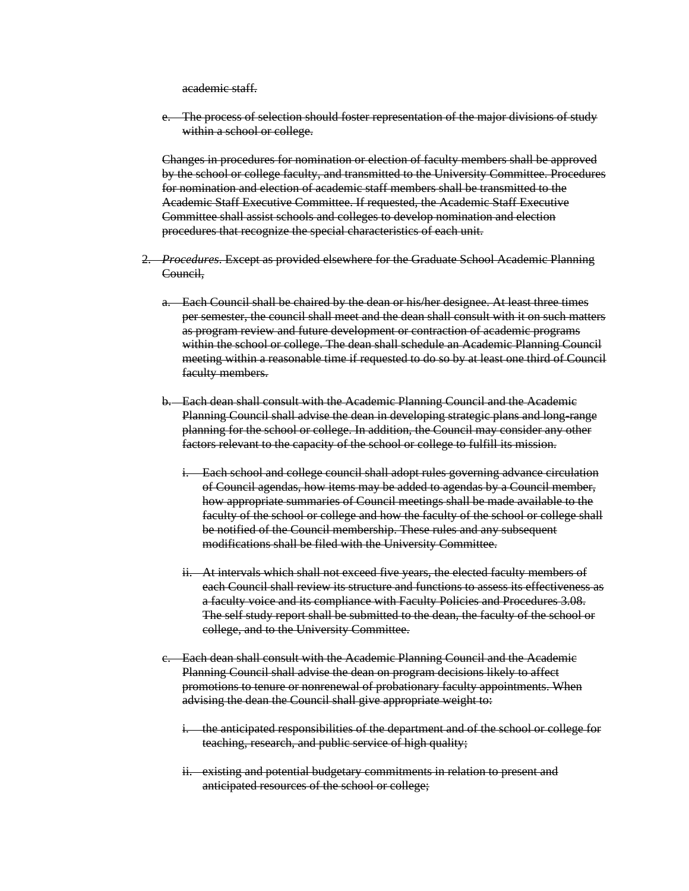academic staff.

The process of selection should foster representation of the major divisions of study within a school or college.

Changes in procedures for nomination or election of faculty members shall be approved by the school or college faculty, and transmitted to the University Committee. Procedures for nomination and election of academic staff members shall be transmitted to the Academic Staff Executive Committee. If requested, the Academic Staff Executive Committee shall assist schools and colleges to develop nomination and election procedures that recognize the special characteristics of each unit.

- 2. *Procedures*. Except as provided elsewhere for the Graduate School Academic Planning Council,
	- a. Each Council shall be chaired by the dean or his/her designee. At least three times per semester, the council shall meet and the dean shall consult with it on such matters as program review and future development or contraction of academic programs within the school or college. The dean shall schedule an Academic Planning Council meeting within a reasonable time if requested to do so by at least one third of Council faculty members.
	- b. Each dean shall consult with the Academic Planning Council and the Academic Planning Council shall advise the dean in developing strategic plans and long-range planning for the school or college. In addition, the Council may consider any other factors relevant to the capacity of the school or college to fulfill its mission.
		- i. Each school and college council shall adopt rules governing advance circulation of Council agendas, how items may be added to agendas by a Council member, how appropriate summaries of Council meetings shall be made available to the faculty of the school or college and how the faculty of the school or college shall be notified of the Council membership. These rules and any subsequent modifications shall be filed with the University Committee.
		- ii. At intervals which shall not exceed five years, the elected faculty members of each Council shall review its structure and functions to assess its effectiveness as a faculty voice and its compliance with Faculty Policies and Procedures 3.08. The self study report shall be submitted to the dean, the faculty of the school or college, and to the University Committee.
	- c. Each dean shall consult with the Academic Planning Council and the Academic Planning Council shall advise the dean on program decisions likely to affect promotions to tenure or nonrenewal of probationary faculty appointments. When advising the dean the Council shall give appropriate weight to:
		- i. the anticipated responsibilities of the department and of the school or college for teaching, research, and public service of high quality;
		- ii. existing and potential budgetary commitments in relation to present and anticipated resources of the school or college;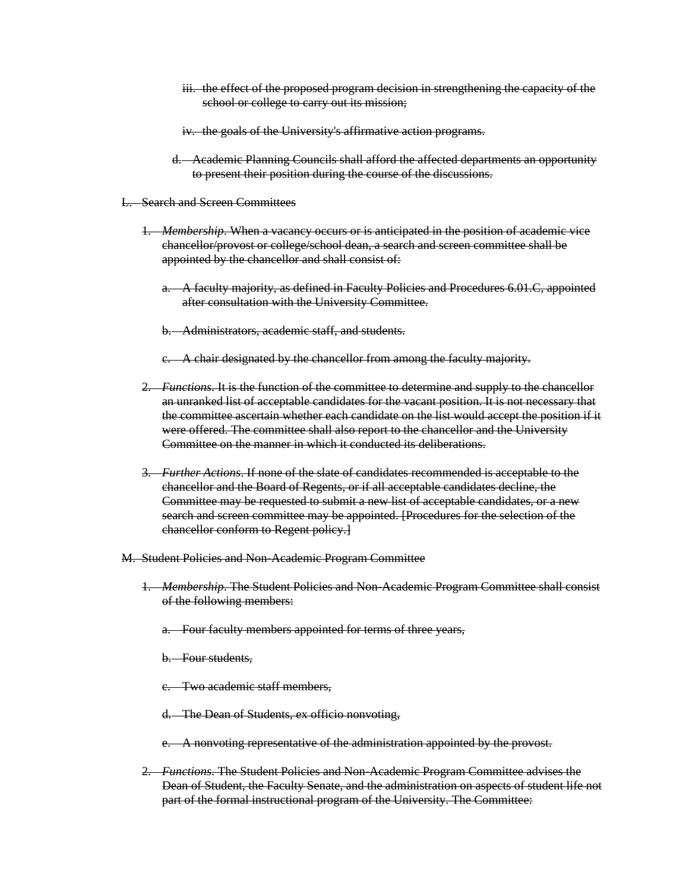- iii. the effect of the proposed program decision in strengthening the capacity of the school or college to carry out its mission;
- iv. the goals of the University's affirmative action programs.
- d. Academic Planning Councils shall afford the affected departments an opportunity to present their position during the course of the discussions.
- L. Search and Screen Committees
	- 1. *Membership*. When a vacancy occurs or is anticipated in the position of academic vice chancellor/provost or college/school dean, a search and screen committee shall be appointed by the chancellor and shall consist of:
		- a. A faculty majority, as defined in Faculty Policies and Procedures 6.01.C, appointed after consultation with the University Committee.
		- b. Administrators, academic staff, and students.
		- c. A chair designated by the chancellor from among the faculty majority.
	- 2. *Functions*. It is the function of the committee to determine and supply to the chancellor an unranked list of acceptable candidates for the vacant position. It is not necessary that the committee ascertain whether each candidate on the list would accept the position if it were offered. The committee shall also report to the chancellor and the University Committee on the manner in which it conducted its deliberations.
	- 3. *Further Actions*. If none of the slate of candidates recommended is acceptable to the chancellor and the Board of Regents, or if all acceptable candidates decline, the Committee may be requested to submit a new list of acceptable candidates, or a new search and screen committee may be appointed. [Procedures for the selection of the chancellor conform to Regent policy.]
- M. Student Policies and Non-Academic Program Committee
	- 1. *Membership*. The Student Policies and Non-Academic Program Committee shall consist of the following members:
		- a. Four faculty members appointed for terms of three years,
		- b. Four students,
		- c. Two academic staff members,
		- d. The Dean of Students, ex officio nonvoting,
		- e. A nonvoting representative of the administration appointed by the provost.
	- 2. *Functions*. The Student Policies and Non-Academic Program Committee advises the Dean of Student, the Faculty Senate, and the administration on aspects of student life not part of the formal instructional program of the University. The Committee: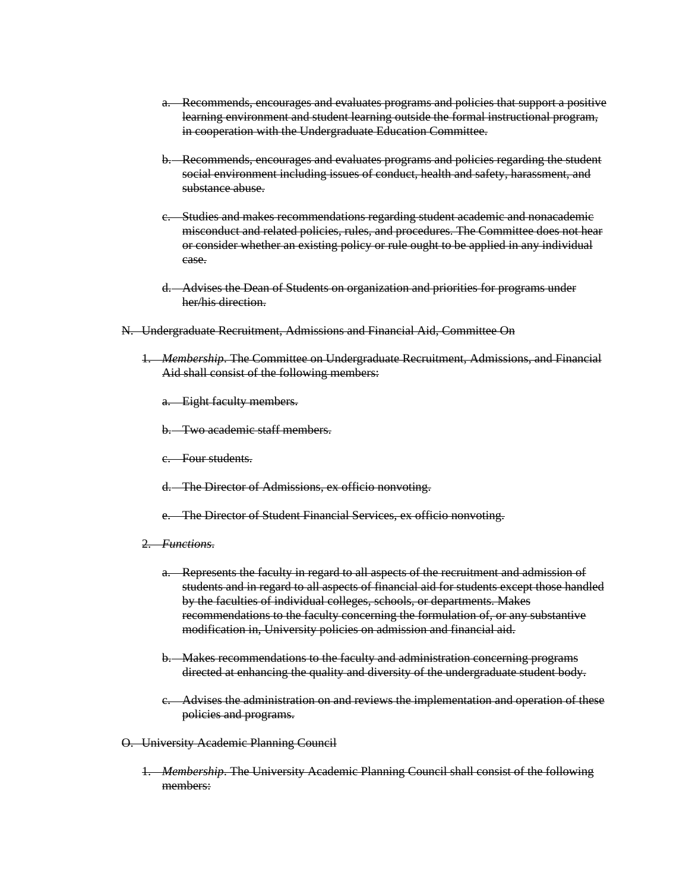- a. Recommends, encourages and evaluates programs and policies that support a positive learning environment and student learning outside the formal instructional program, in cooperation with the Undergraduate Education Committee.
- b. Recommends, encourages and evaluates programs and policies regarding the student social environment including issues of conduct, health and safety, harassment, and substance abuse.
- c. Studies and makes recommendations regarding student academic and nonacademic misconduct and related policies, rules, and procedures. The Committee does not hear or consider whether an existing policy or rule ought to be applied in any individual case.
- d. Advises the Dean of Students on organization and priorities for programs under her/his direction.
- N. Undergraduate Recruitment, Admissions and Financial Aid, Committee On
	- 1. *Membership*. The Committee on Undergraduate Recruitment, Admissions, and Financial Aid shall consist of the following members:
		- a. Eight faculty members.
		- b. Two academic staff members.
		- c. Four students.
		- d. The Director of Admissions, ex officio nonvoting.
		- e. The Director of Student Financial Services, ex officio nonvoting.
	- 2. *Functions*.
		- a. Represents the faculty in regard to all aspects of the recruitment and admission of students and in regard to all aspects of financial aid for students except those handled by the faculties of individual colleges, schools, or departments. Makes recommendations to the faculty concerning the formulation of, or any substantive modification in, University policies on admission and financial aid.
		- b. Makes recommendations to the faculty and administration concerning programs directed at enhancing the quality and diversity of the undergraduate student body.
		- c. Advises the administration on and reviews the implementation and operation of these policies and programs.
- O. University Academic Planning Council
	- 1. *Membership*. The University Academic Planning Council shall consist of the following members: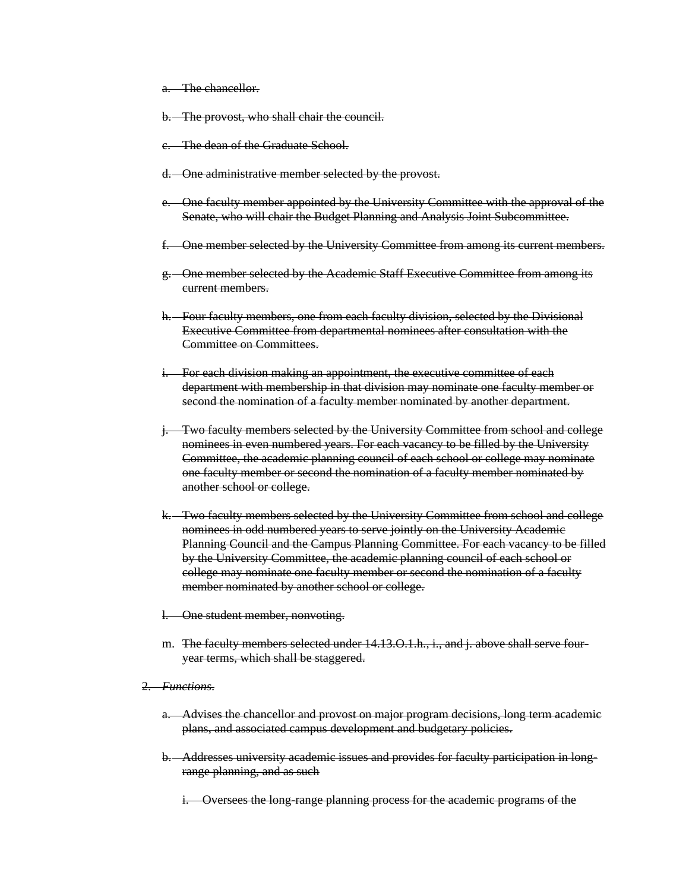a. The chancellor.

b. The provost, who shall chair the council.

- c. The dean of the Graduate School.
- d. One administrative member selected by the provost.
- e. One faculty member appointed by the University Committee with the approval of the Senate, who will chair the Budget Planning and Analysis Joint Subcommittee.
- f. One member selected by the University Committee from among its current members.
- g. One member selected by the Academic Staff Executive Committee from among its current members.
- h. Four faculty members, one from each faculty division, selected by the Divisional Executive Committee from departmental nominees after consultation with the Committee on Committees.
- i. For each division making an appointment, the executive committee of each department with membership in that division may nominate one faculty member or second the nomination of a faculty member nominated by another department.
- j. Two faculty members selected by the University Committee from school and college nominees in even numbered years. For each vacancy to be filled by the University Committee, the academic planning council of each school or college may nominate one faculty member or second the nomination of a faculty member nominated by another school or college.
- k. Two faculty members selected by the University Committee from school and college nominees in odd numbered years to serve jointly on the University Academic Planning Council and the Campus Planning Committee. For each vacancy to be filled by the University Committee, the academic planning council of each school or college may nominate one faculty member or second the nomination of a faculty member nominated by another school or college.
- l. One student member, nonvoting.
- m. The faculty members selected under 14.13.O.1.h., i., and j. above shall serve fouryear terms, which shall be staggered.

#### 2. *Functions*.

- a. Advises the chancellor and provost on major program decisions, long term academic plans, and associated campus development and budgetary policies.
- b. Addresses university academic issues and provides for faculty participation in longrange planning, and as such
	- i. Oversees the long-range planning process for the academic programs of the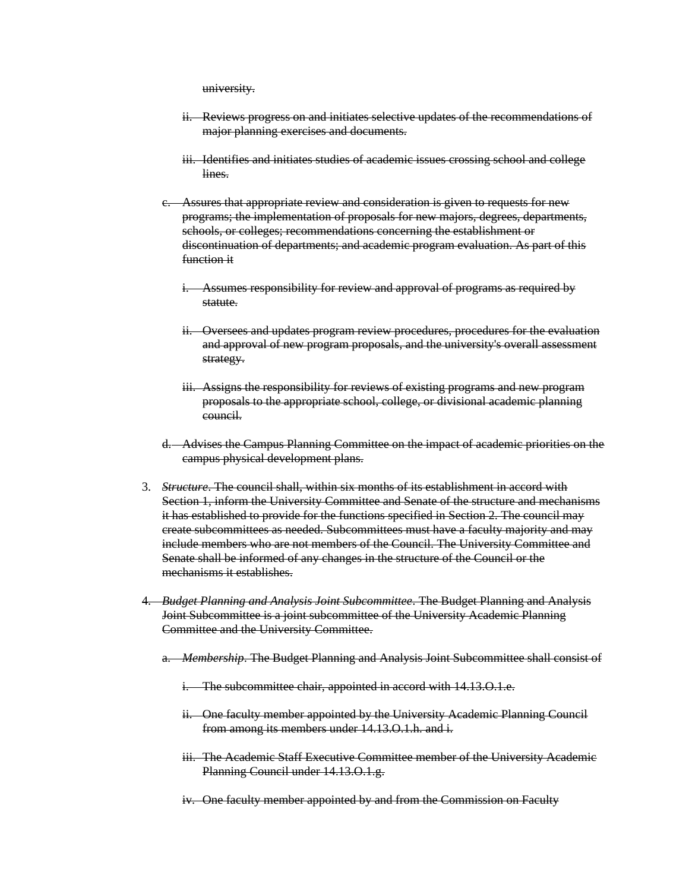university.

- ii. Reviews progress on and initiates selective updates of the recommendations of major planning exercises and documents.
- iii. Identifies and initiates studies of academic issues crossing school and college lines.
- c. Assures that appropriate review and consideration is given to requests for new programs; the implementation of proposals for new majors, degrees, departments, schools, or colleges; recommendations concerning the establishment or discontinuation of departments; and academic program evaluation. As part of this function it
	- i. Assumes responsibility for review and approval of programs as required by statute.
	- ii. Oversees and updates program review procedures, procedures for the evaluation and approval of new program proposals, and the university's overall assessment strategy.
	- iii. Assigns the responsibility for reviews of existing programs and new program proposals to the appropriate school, college, or divisional academic planning council.
- d. Advises the Campus Planning Committee on the impact of academic priorities on the campus physical development plans.
- 3. *Structure*. The council shall, within six months of its establishment in accord with Section 1, inform the University Committee and Senate of the structure and mechanisms it has established to provide for the functions specified in Section 2. The council may create subcommittees as needed. Subcommittees must have a faculty majority and may include members who are not members of the Council. The University Committee and Senate shall be informed of any changes in the structure of the Council or the mechanisms it establishes.
- 4. *Budget Planning and Analysis Joint Subcommittee*. The Budget Planning and Analysis Joint Subcommittee is a joint subcommittee of the University Academic Planning Committee and the University Committee.
	- a. *Membership*. The Budget Planning and Analysis Joint Subcommittee shall consist of
		- i. The subcommittee chair, appointed in accord with 14.13.O.1.e.
		- ii. One faculty member appointed by the University Academic Planning Council from among its members under 14.13.O.1.h. and i.
		- iii. The Academic Staff Executive Committee member of the University Academic Planning Council under 14.13.O.1.g.
		- iv. One faculty member appointed by and from the Commission on Faculty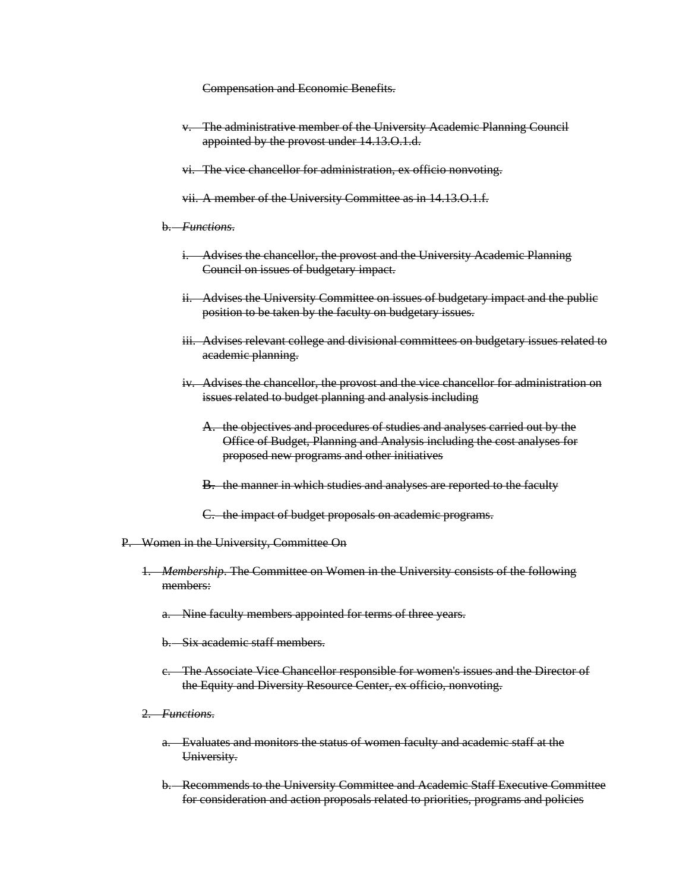Compensation and Economic Benefits.

- v. The administrative member of the University Academic Planning Council appointed by the provost under 14.13.O.1.d.
- vi. The vice chancellor for administration, ex officio nonvoting.
- vii. A member of the University Committee as in 14.13.O.1.f.
- b. *Functions*.
	- i. Advises the chancellor, the provost and the University Academic Planning Council on issues of budgetary impact.
	- ii. Advises the University Committee on issues of budgetary impact and the public position to be taken by the faculty on budgetary issues.
	- iii. Advises relevant college and divisional committees on budgetary issues related to academic planning.
	- iv. Advises the chancellor, the provost and the vice chancellor for administration on issues related to budget planning and analysis including
		- A. the objectives and procedures of studies and analyses carried out by the Office of Budget, Planning and Analysis including the cost analyses for proposed new programs and other initiatives
		- B. the manner in which studies and analyses are reported to the faculty
		- C. the impact of budget proposals on academic programs.
- P. Women in the University, Committee On
	- 1. *Membership*. The Committee on Women in the University consists of the following members:
		- a. Nine faculty members appointed for terms of three years.
		- b. Six academic staff members.
		- c. The Associate Vice Chancellor responsible for women's issues and the Director of the Equity and Diversity Resource Center, ex officio, nonvoting.
	- 2. *Functions*.
		- a. Evaluates and monitors the status of women faculty and academic staff at the University.
		- b. Recommends to the University Committee and Academic Staff Executive Committee for consideration and action proposals related to priorities, programs and policies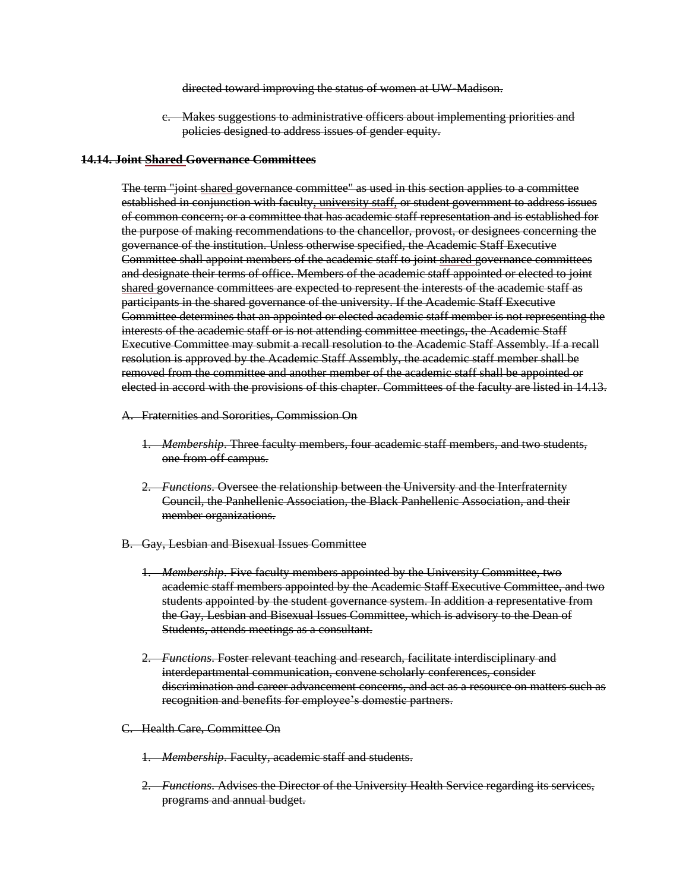directed toward improving the status of women at UW-Madison.

c. Makes suggestions to administrative officers about implementing priorities and policies designed to address issues of gender equity.

### **14.14. Joint Shared Governance Committees**

The term "joint shared governance committee" as used in this section applies to a committee established in conjunction with faculty, university staff, or student government to address issues of common concern; or a committee that has academic staff representation and is established for the purpose of making recommendations to the chancellor, provost, or designees concerning the governance of the institution. Unless otherwise specified, the Academic Staff Executive Committee shall appoint members of the academic staff to joint shared governance committees and designate their terms of office. Members of the academic staff appointed or elected to joint shared governance committees are expected to represent the interests of the academic staff as participants in the shared governance of the university. If the Academic Staff Executive Committee determines that an appointed or elected academic staff member is not representing the interests of the academic staff or is not attending committee meetings, the Academic Staff Executive Committee may submit a recall resolution to the Academic Staff Assembly. If a recall resolution is approved by the Academic Staff Assembly, the academic staff member shall be removed from the committee and another member of the academic staff shall be appointed or elected in accord with the provisions of this chapter. Committees of the faculty are listed in 14.13.

- A. Fraternities and Sororities, Commission On
	- 1. *Membership*. Three faculty members, four academic staff members, and two students, one from off campus.
	- 2. *Functions*. Oversee the relationship between the University and the Interfraternity Council, the Panhellenic Association, the Black Panhellenic Association, and their member organizations.
- B. Gay, Lesbian and Bisexual Issues Committee
	- 1. *Membership*. Five faculty members appointed by the University Committee, two academic staff members appointed by the Academic Staff Executive Committee, and two students appointed by the student governance system. In addition a representative from the Gay, Lesbian and Bisexual Issues Committee, which is advisory to the Dean of Students, attends meetings as a consultant.
	- 2. *Functions*. Foster relevant teaching and research, facilitate interdisciplinary and interdepartmental communication, convene scholarly conferences, consider discrimination and career advancement concerns, and act as a resource on matters such as recognition and benefits for employee's domestic partners.

### C. Health Care, Committee On

- 1. *Membership*. Faculty, academic staff and students.
- 2. *Functions*. Advises the Director of the University Health Service regarding its services, programs and annual budget.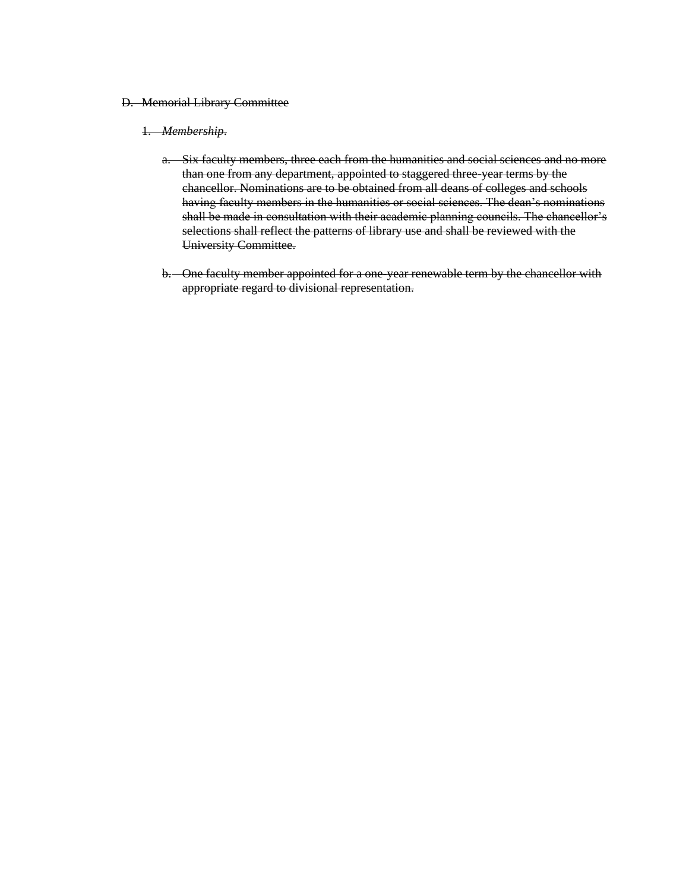### D. Memorial Library Committee

### 1. *Membership*.

- a. Six faculty members, three each from the humanities and social sciences and no more than one from any department, appointed to staggered three-year terms by the chancellor. Nominations are to be obtained from all deans of colleges and schools having faculty members in the humanities or social sciences. The dean's nominations shall be made in consultation with their academic planning councils. The chancellor's selections shall reflect the patterns of library use and shall be reviewed with the University Committee.
- b. One faculty member appointed for a one-year renewable term by the chancellor with appropriate regard to divisional representation.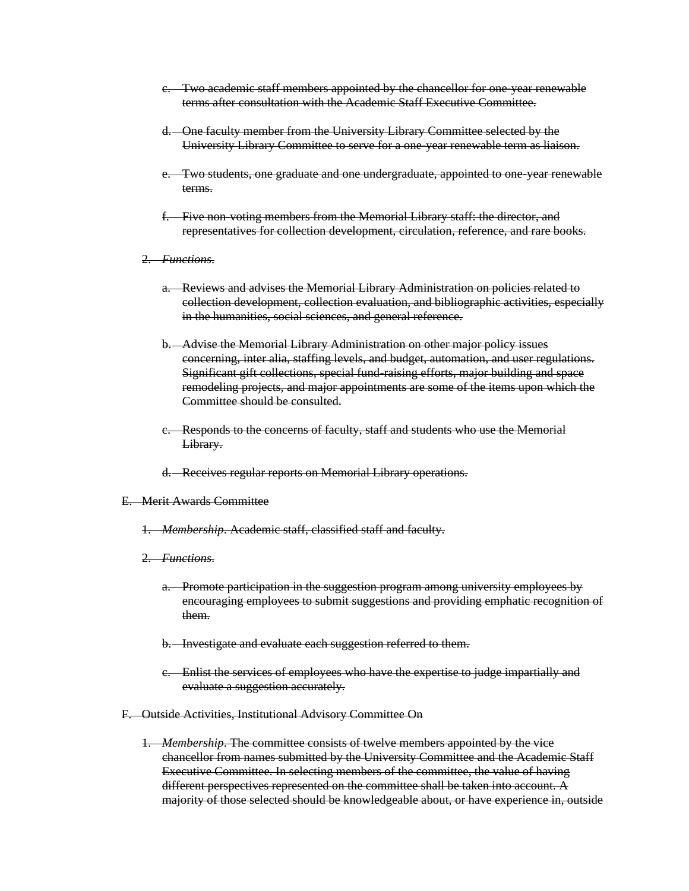- c. Two academic staff members appointed by the chancellor for one-year renewable terms after consultation with the Academic Staff Executive Committee.
- d. One faculty member from the University Library Committee selected by the University Library Committee to serve for a one-year renewable term as liaison.
- e. Two students, one graduate and one undergraduate, appointed to one-year renewable terms.
- f. Five non-voting members from the Memorial Library staff: the director, and representatives for collection development, circulation, reference, and rare books.
- 2. *Functions*.
	- a. Reviews and advises the Memorial Library Administration on policies related to collection development, collection evaluation, and bibliographic activities, especially in the humanities, social sciences, and general reference.
	- b. Advise the Memorial Library Administration on other major policy issues concerning, inter alia, staffing levels, and budget, automation, and user regulations. Significant gift collections, special fund-raising efforts, major building and space remodeling projects, and major appointments are some of the items upon which the Committee should be consulted.
	- c. Responds to the concerns of faculty, staff and students who use the Memorial Library.
	- d. Receives regular reports on Memorial Library operations.

### E. Merit Awards Committee

- 1. *Membership*. Academic staff, classified staff and faculty.
- 2. *Functions*.
	- a. Promote participation in the suggestion program among university employees by encouraging employees to submit suggestions and providing emphatic recognition of them.
	- b. Investigate and evaluate each suggestion referred to them.
	- c. Enlist the services of employees who have the expertise to judge impartially and evaluate a suggestion accurately.
- F. Outside Activities, Institutional Advisory Committee On
	- 1. *Membership*. The committee consists of twelve members appointed by the vice chancellor from names submitted by the University Committee and the Academic Staff Executive Committee. In selecting members of the committee, the value of having different perspectives represented on the committee shall be taken into account. A majority of those selected should be knowledgeable about, or have experience in, outside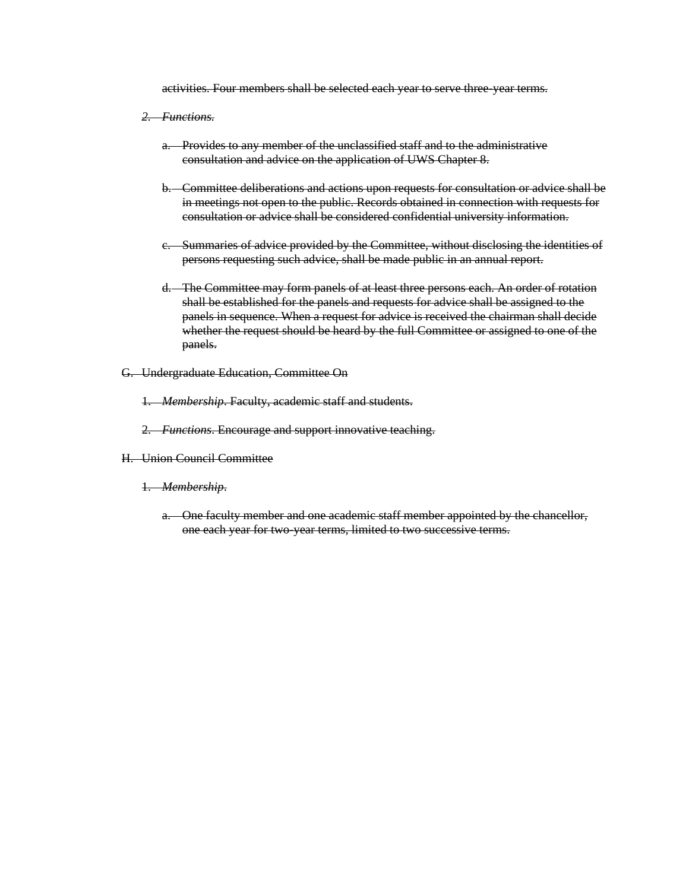activities. Four members shall be selected each year to serve three-year terms.

- *2. Functions.*
	- a. Provides to any member of the unclassified staff and to the administrative consultation and advice on the application of UWS Chapter 8.
	- b. Committee deliberations and actions upon requests for consultation or advice shall be in meetings not open to the public. Records obtained in connection with requests for consultation or advice shall be considered confidential university information.
	- c. Summaries of advice provided by the Committee, without disclosing the identities of persons requesting such advice, shall be made public in an annual report.
	- d. The Committee may form panels of at least three persons each. An order of rotation shall be established for the panels and requests for advice shall be assigned to the panels in sequence. When a request for advice is received the chairman shall decide whether the request should be heard by the full Committee or assigned to one of the panels.
- G. Undergraduate Education, Committee On
	- 1. *Membership*. Faculty, academic staff and students.
	- 2. *Functions*. Encourage and support innovative teaching.
- H. Union Council Committee
	- 1. *Membership*.
		- a. One faculty member and one academic staff member appointed by the chancellor, one each year for two-year terms, limited to two successive terms.